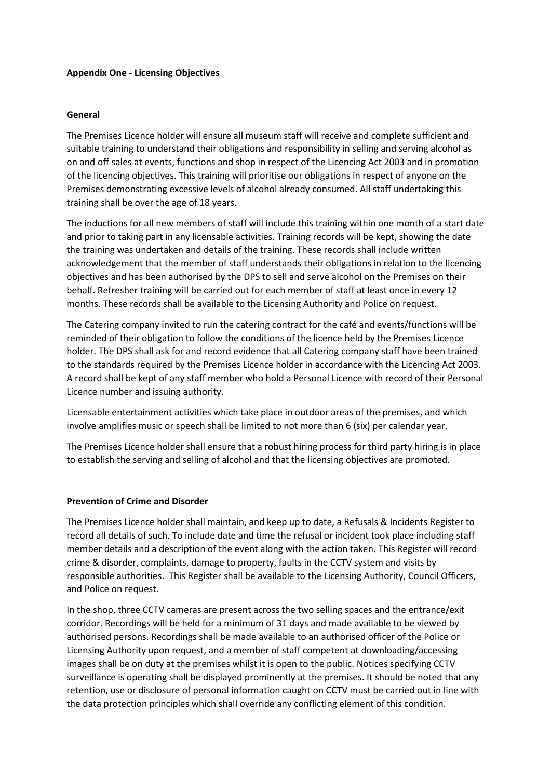# **Appendix One - Licensing Objectives**

### **General**

The Premises Licence holder will ensure all museum staff will receive and complete sufficient and suitable training to understand their obligations and responsibility in selling and serving alcohol as on and off sales at events, functions and shop in respect of the Licencing Act 2003 and in promotion of the licencing objectives. This training will prioritise our obligations in respect of anyone on the Premises demonstrating excessive levels of alcohol already consumed. All staff undertaking this training shall be over the age of 18 years.

The inductions for all new members of staff will include this training within one month of a start date and prior to taking part in any licensable activities. Training records will be kept, showing the date the training was undertaken and details of the training. These records shall include written acknowledgement that the member of staff understands their obligations in relation to the licencing objectives and has been authorised by the DPS to sell and serve alcohol on the Premises on their behalf. Refresher training will be carried out for each member of staff at least once in every 12 months. These records shall be available to the Licensing Authority and Police on request.

The Catering company invited to run the catering contract for the café and events/functions will be reminded of their obligation to follow the conditions of the licence held by the Premises Licence holder. The DPS shall ask for and record evidence that all Catering company staff have been trained to the standards required by the Premises Licence holder in accordance with the Licencing Act 2003. A record shall be kept of any staff member who hold a Personal Licence with record of their Personal Licence number and issuing authority.

Licensable entertainment activities which take place in outdoor areas of the premises, and which involve amplifies music or speech shall be limited to not more than 6 (six) per calendar year.

The Premises Licence holder shall ensure that a robust hiring process for third party hiring is in place to establish the serving and selling of alcohol and that the licensing objectives are promoted.

### **Prevention of Crime and Disorder**

The Premises Licence holder shall maintain, and keep up to date, a Refusals & Incidents Register to record all details of such. To include date and time the refusal or incident took place including staff member details and a description of the event along with the action taken. This Register will record crime & disorder, complaints, damage to property, faults in the CCTV system and visits by responsible authorities. This Register shall be available to the Licensing Authority, Council Officers, and Police on request.

In the shop, three CCTV cameras are present across the two selling spaces and the entrance/exit corridor. Recordings will be held for a minimum of 31 days and made available to be viewed by authorised persons. Recordings shall be made available to an authorised officer of the Police or Licensing Authority upon request, and a member of staff competent at downloading/accessing images shall be on duty at the premises whilst it is open to the public. Notices specifying CCTV surveillance is operating shall be displayed prominently at the premises. It should be noted that any retention, use or disclosure of personal information caught on CCTV must be carried out in line with the data protection principles which shall override any conflicting element of this condition.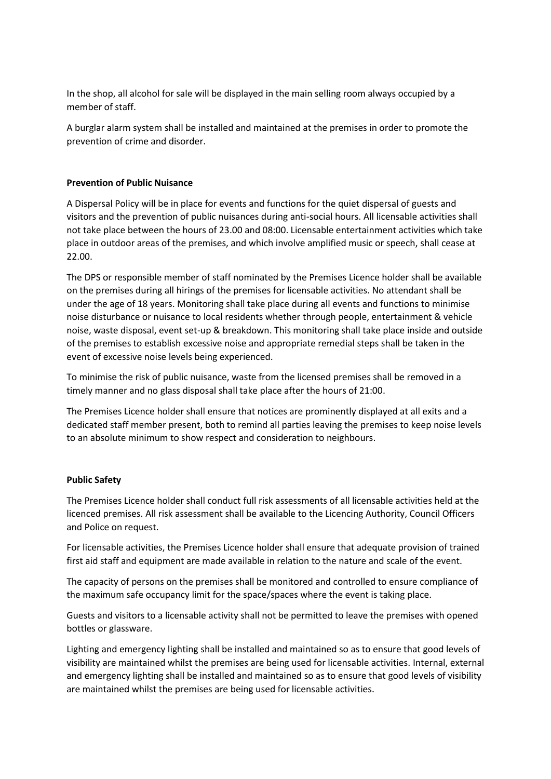In the shop, all alcohol for sale will be displayed in the main selling room always occupied by a member of staff.

A burglar alarm system shall be installed and maintained at the premises in order to promote the prevention of crime and disorder.

## **Prevention of Public Nuisance**

A Dispersal Policy will be in place for events and functions for the quiet dispersal of guests and visitors and the prevention of public nuisances during anti-social hours. All licensable activities shall not take place between the hours of 23.00 and 08:00. Licensable entertainment activities which take place in outdoor areas of the premises, and which involve amplified music or speech, shall cease at 22.00.

The DPS or responsible member of staff nominated by the Premises Licence holder shall be available on the premises during all hirings of the premises for licensable activities. No attendant shall be under the age of 18 years. Monitoring shall take place during all events and functions to minimise noise disturbance or nuisance to local residents whether through people, entertainment & vehicle noise, waste disposal, event set-up & breakdown. This monitoring shall take place inside and outside of the premises to establish excessive noise and appropriate remedial steps shall be taken in the event of excessive noise levels being experienced.

To minimise the risk of public nuisance, waste from the licensed premises shall be removed in a timely manner and no glass disposal shall take place after the hours of 21:00.

The Premises Licence holder shall ensure that notices are prominently displayed at all exits and a dedicated staff member present, both to remind all parties leaving the premises to keep noise levels to an absolute minimum to show respect and consideration to neighbours.

# **Public Safety**

The Premises Licence holder shall conduct full risk assessments of all licensable activities held at the licenced premises. All risk assessment shall be available to the Licencing Authority, Council Officers and Police on request.

For licensable activities, the Premises Licence holder shall ensure that adequate provision of trained first aid staff and equipment are made available in relation to the nature and scale of the event.

The capacity of persons on the premises shall be monitored and controlled to ensure compliance of the maximum safe occupancy limit for the space/spaces where the event is taking place.

Guests and visitors to a licensable activity shall not be permitted to leave the premises with opened bottles or glassware.

Lighting and emergency lighting shall be installed and maintained so as to ensure that good levels of visibility are maintained whilst the premises are being used for licensable activities. Internal, external and emergency lighting shall be installed and maintained so as to ensure that good levels of visibility are maintained whilst the premises are being used for licensable activities.